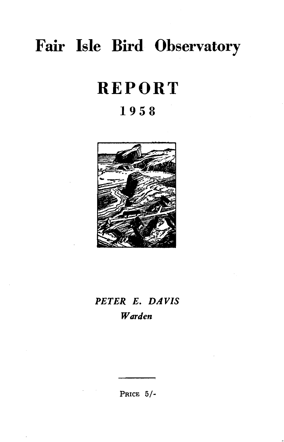# **Fair Isle Bird Observatory**

# **REPORT**

# **1958**



# *PETER E. DAVIS Warden*

PRICE 5/-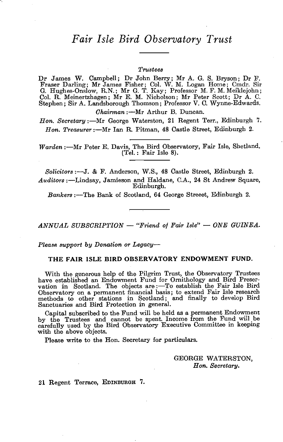# *Fair Isle Bird Observatory Trust*

#### *Trustee8*

Dr James W. Campbell; Dr John Berry; Mr A. G. S. Bryson; Dr F. Fraser Darling; Mr James Fisher; Col. W. M. Logan Home; Cmdr. Sir G. Hughes-Onslow, R.N.; Mr G. T. Kay; Professor M. F. M. Meiklejohn; Col. R. Meinertzhagen; Mr E. M. Nicholson; 1\'11' Peter Scott; Dr A. C. Stephen; Sir A. Landsborough Thomson; Professor V. C. Wynne-Edwards.

*Chairman* :- Mr Arthur B. Duncan.

*Hon. Secretary:-Mr* George Waterston, 21 Regent Terr., Edinburgh 7. *Hon. Treasurer* :- Mr Ian R. Pitman, 48 Castle Street, Edinburgh 2.

*Warden* :- Mr Peter E. Davis, The Bird Observatory, Fair Isle, Shetland. (Tel.: Fair Isle 8).

*Solicitors* :-J. & F. Anderson, W.S., 48 Castle Street, Edinburgh 2. *Auditor8* :-Lindsay, Jamieson and Haldane, C.A., 24 St Andrew Square, Edinburgh.

*Bankers* :-The Bank of Scotland, 64 George Streeet, Edinburgh 2.

*ANNUAL SUBSORIPTION* - *"Friend of Fair Isle"* - *ONE GUINEA.* 

*Plea8B 8upport by Donation or Legacy-*

#### THE FAIR ISLE BIRD OBSERVATORY ENDOWMENT FUND.

With the generous help of the Pilgrim Trust, the Observatory Trustees have established an Endowment Fund for Ornithology and Bird Preservation in Scotland. The objects are :—To establish the Fair Isle Bird Observatory on a permanent financial basis; to extend Fair Isle research methods to other stations in Scotland; and finally to develop Bird Sanctuaries and Bird Protection in general.

Capital subscribed to the Fund will be held as a permanent Endowment by the Trustees and cannot be spent. Income from the Fund will be carefully used by the Bird Observatory Executive Committee in keeping with the above objects.

Please write to the Hon. Secretary for particulars.

GEORGE WATERSTON, *Hon. Secretary.* 

21 Regent Terrace, EDINBURGH 7.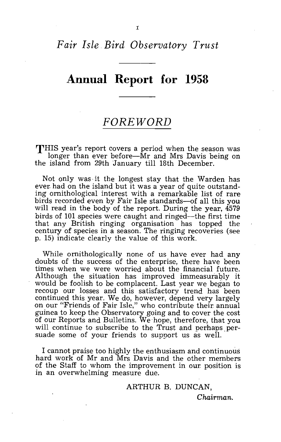*Fair Isle Bird Observatory Trust* 

# **Annual Report for 1958**

# **FOREWORD**

**THIS** year's report covers a period when the season was longer than ever before—Mr and Mrs Davis being on the island from 29th January till 18th December.

Not only was it the longest stay that the Warden has ever. had on the island but it was a year of quite outstanding ornithological interest with a remarkable list of rare birds recorded even by Fair Isle standards-of all this you will read in the body of the report. During the year,  $\overline{4579}$ birds of 101 species were caught and ringed-the first time that any British ringing organisation has topped the century of species in a season. The ringing recoveries (see p. 15) indicate clearly the value of this work.

While ornithologically none of us have ever had any doubts of the success of the enterprise, there have been times when we were worried about the financial future. Although the situation has improved immeasurably it would be foolish to be complacent. Last year we began to recoup our losses and this satisfactory trend has been continued this year. We do, however, depend very largely on our "Friends of Fair Isle," who contribute their annual guinea to keep the Observatory going and to cover the cost of our Reports and Bulletins. We· hope, therefore, that you will continue to subscribe to the Trust and perhaps persuade some of your friends to support us as well.

I cannot praise too highly the enthusiasm and continuous hard work of Mr and Mrs Davis and the other members of the Staff to whom the improvement in our position is in an overwhelming measure due.

ARTHUR B. DUNCAN,

Chairman.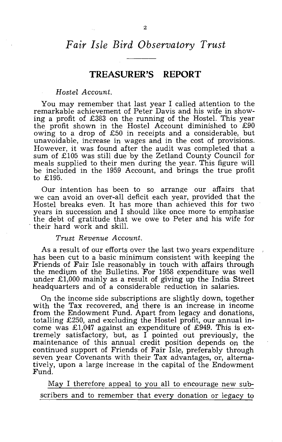# *Fair Isle Bird Observatory Trust*

# **TREASURER'S REPORT**

*Hostel Account.* 

You may remember that last year I called attention to the remarkable achievement of Peter Davis and his wife in showing a profit of £383 on the running of the Hostel. This year the profit shown in the Hostel Account diminished to £90 owing to a drop of £50 in receipts and a considerable, but unavoidable, increase in wages and in the cost of provisions. However, it was found after the audit was completed that a sum of  $\angle E105$  was still due by the Zetland County Council for meals supplied to their men during the year. This figure will be included in the 1959 Account, and brings the true profit to £195.

Our intention has been to so arrange our affairs that we can avoid an over-all deficit each year, provided that the Hostel breaks even. It has more than achieved this for two years in succession and I should like once more to emphasise the debt of gratitude that we owe to Peter and his wife for their hard work and skill.

#### *Trust Revenue Account.*

As a result of our efforts over the last two years expenditure has been cut to a basic minimum consistent with keeping the Friends of Fair. Isle reasonably in touch with affairs through the medium of the Bulletins. For 1958 expenditure was well under  $£1,000$  mainly as a result of giving up the India Street headquarters and of a considerable reduction in salaries.

On the income side subscriptions are slightly down, together with the Tax recovered, and there is an increase in income from the Endowment Fund. Apart from legacy and donations, totalling £250, and excluding the Hostel profit, our annual income was £1,047 against an expenditure of £949. This is extremely satisfactory, but, as I pointed out previously, the maintenance of this annual credit position depends on the continued support of Friends of Fair Isle, preferably through seven year Covenants with their Tax advantages, or, alternatively, upon a large increase in the capital of the Endowment Fund.

May I therefore appeal to you all to encourage new subscribers and to remember that every donation or legacy to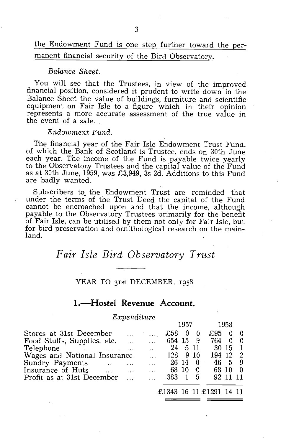# the Endowment Fund is one step further toward the permanent financial security of the Bird Observatory.

#### Balance Sheet.

You will see that the Trustees, in view of the improved financial position, considered it prudent to write down in the Balance Sheet the value of buildings, furniture and scientific equipment on Fair Isle to a figure which in their opinion represents a more accurate assessment of the true value in the event of a sale.

#### Endowment Fund.

The financial year of the Fair Isle Endowment Trust Fund, of which the Bank of Scotland is Trustee, ends on 30th June each year. The income of the Fund is payable twice yearly to the Observatory Trustees and the capital value of the Fund as at 30th June, 1959, was £3,949, 3s 2d. Additions to this Fund are badly wanted.

Subscribers to the Endowment Trust are reminded that under the terms of the Trust Deed the capital of the Fund cannot be encroached upon and that the income, although payable to the Observatory Trustees orimarily for the benefit of Fair Isle, can be utilised by them not only for Fair Isle, but for bird preservation and ornithological research on the mainland.

# *Fair Isle Bird Observatory Trust*

#### YEAR TO 31st DECEMBER, 1958

## 1.-Hostel Revenue Account.

Expenditure

|                                                         |              |           |          | 1957   |          |                         | 1958 |     |
|---------------------------------------------------------|--------------|-----------|----------|--------|----------|-------------------------|------|-----|
| Stores at 31st December                                 | $\mathbf{1}$ |           | £58      | - 0    | - 0      | £95                     | 0    |     |
| Food Stuffs, Supplies, etc.                             |              | $\ddotsc$ | 654 15 9 |        |          | 764                     | 0    |     |
| Telephone                                               |              | $\cdots$  | 24       | - 5 11 |          | 30 15                   |      |     |
| Wages and National Insurance                            |              | $\ddotsc$ | 128 9 10 |        |          | 194 12 2                |      |     |
| Sundry Payments                                         | $\cdots$     |           | 26 14    |        | $\sim 0$ | 46 5                    |      | - 9 |
| Insurance of Huts<br>$\sim$ $\sim$ $\sim$ $\sim$ $\sim$ | $\ldots$     |           | 68 10    |        | -0       | 68 10                   |      |     |
| Profit as at 31st December                              | $\mathbf{1}$ |           | 383 1    |        | $-5$     | 92 11 11                |      |     |
|                                                         |              |           |          |        |          |                         |      |     |
|                                                         |              |           |          |        |          | £1343 16 11 £1291 14 11 |      |     |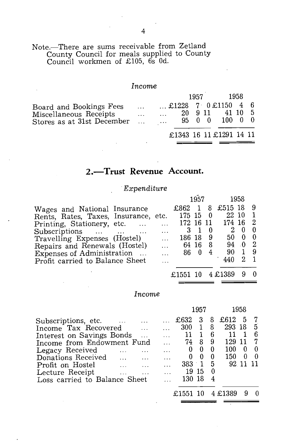#### Note.—There are sums receivable from Zetland County Council for meals supplied to County Council workmen of £105, 6s Od.

#### *Income*

|                                                                                 |                      |                                     | 1957            | -1958                   |  |
|---------------------------------------------------------------------------------|----------------------|-------------------------------------|-----------------|-------------------------|--|
| Board and Bookings Fees<br>Miscellaneous Receipts<br>Stores as at 31st December | $\cdot$              | £1228 $7 \t0 $ £1150 4 6            |                 | 41 10 5                 |  |
|                                                                                 | $\cdots$<br>$\cdots$ | $\cdots$<br>$\sim 100$ km s $^{-1}$ | 20 9 11<br>9500 | 100 0 0                 |  |
|                                                                                 |                      |                                     |                 | £1343 16 11 £1291 14 11 |  |

## 2.-Trust Revenue Account.

*Expenditure* 

|                                      |           |                  | 1957           |     |           | 1958           |                           |
|--------------------------------------|-----------|------------------|----------------|-----|-----------|----------------|---------------------------|
| Wages and National Insurance         |           | £862.            | 1              |     | 8 £515 18 |                | - 9                       |
| Rents, Rates, Taxes, Insurance, etc. |           | 175, 15, 0       |                |     | 22 10     |                | 1                         |
| Printing, Stationery, etc.           |           | 172 16 11        |                |     | 174 16    |                | $\overline{\phantom{a}2}$ |
| Subscriptions                        | $\cdots$  | 3                | $\blacksquare$ | -0  | 2         | $\theta$       | -0                        |
| Travelling Expenses (Hostel)         |           | 186 18           |                | - 9 |           | $50 \t 0 \t 0$ |                           |
| Repairs and Renewals (Hostel)        | $\ddotsc$ |                  | 64 16          | - 8 |           | $94 \quad 0$   | $\overline{2}$            |
| Expenses of Administration           |           |                  | 86 0           | 4   | 90        | $\mathbf{1}$   | - 9                       |
| Profit carried to Balance Sheet      |           |                  |                |     | 440       | 2              |                           |
|                                      |           | £1551 10 4 £1389 |                |     |           |                |                           |

#### *Income*

|                               |          |           |          | 1957 |    |         | 1958     |   |
|-------------------------------|----------|-----------|----------|------|----|---------|----------|---|
| Subscriptions, etc.<br>$\sim$ | $\cdots$ |           | £632     | 3    | 8  | £612    | 5        | 7 |
| Income Tax Recovered          | .        |           | 300      |      | 8  | 293     | -18      | 5 |
| Interest on Savings Bonds     |          | $\ddotsc$ | 11       |      | 6  |         |          | 6 |
| Income from Endowment Fund    |          |           | 74       | 8    | 9  | 129     |          | 7 |
| Legacy Received               |          |           |          | 0    | 0  | 100     | 0        | 0 |
| Donations Received            | $\cdots$ | .         |          |      | 0  | 150     | 0        | 0 |
| Profit on Hostel              |          |           | 383      | . T  | -5 |         | 92 11 11 |   |
| Lecture Receipt               |          |           | 19 15    |      | 0  |         |          |   |
| Loss carried to Balance Sheet |          |           | 130 18   |      | 4  |         |          |   |
|                               |          |           | £1551 10 |      |    | 4 £1389 |          |   |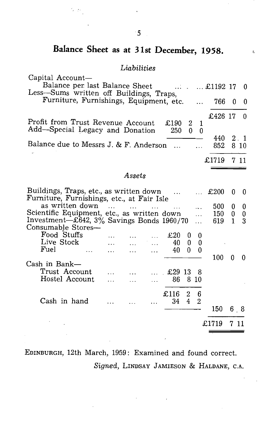# **Balance Sheet as at 31st December, 1958.**

 $\bar{3}$ 

## *Liabilities*

| Capital Account—                                                                         |                        |              |           |               |        |                |                  |          |                                             |
|------------------------------------------------------------------------------------------|------------------------|--------------|-----------|---------------|--------|----------------|------------------|----------|---------------------------------------------|
| Balance per last Balance Sheet<br>Less-Sums written off Buildings, Traps,                |                        |              |           |               |        |                | $\dots$ £1192 17 |          | -0                                          |
| Furniture, Furnishings, Equipment, etc.                                                  |                        |              |           |               |        |                | 766              | $\theta$ | 0                                           |
|                                                                                          |                        |              |           |               |        |                | £426 17          |          | $\Omega$                                    |
| Profit from Trust Revenue Account<br>Add-Special Legacy and Donation                     |                        |              |           | £190<br>250   | 2<br>0 | 1<br>0         |                  |          |                                             |
| Balance due to Messrs J. & F. Anderson                                                   |                        |              |           | $\ddotsc$     |        |                | 440<br>852       |          | 2.1<br>8 10                                 |
|                                                                                          |                        |              |           |               |        |                | £1719            |          | 711                                         |
|                                                                                          |                        | Assets       |           |               |        |                |                  |          |                                             |
| Buildings, Traps, etc., as written down<br>Furniture, Furnishings, etc., at Fair Isle    |                        |              |           |               |        | $\mathbf{1}$   | £200             | 0        | 0                                           |
| as written down                                                                          | $\sim 1000$ km $^{-1}$ |              |           |               |        | $\sim$         | 500              | 0        | 0                                           |
| Scientific Equipment, etc., as written down<br>Investment-£642, 3% Savings Bonds 1960/70 |                        |              |           |               |        | $\ddotsc$<br>. | 150<br>619       | 0<br>1   | $\boldsymbol{0}$<br>$\overline{\mathbf{3}}$ |
| Consumable Stores-                                                                       |                        |              |           |               |        |                |                  |          |                                             |
| Food Stuffs                                                                              |                        |              |           | £20           | 0      | 0              |                  |          |                                             |
| Live Stock<br>Fuel                                                                       |                        | $\mathbf{1}$ | $\ddotsc$ | 40.           | 0      | 0              |                  |          |                                             |
|                                                                                          | $\cdots$               | $\ddotsc$    |           | 40            | 0      | 0              | 100              | 0        | 0                                           |
| Cash in Bank—                                                                            |                        |              |           |               |        |                |                  |          |                                             |
| Trust Account                                                                            |                        |              |           | $\pm 29$ 13 8 |        |                |                  |          |                                             |
| Hostel Account.                                                                          |                        | .            |           | 86            |        | 8 10           |                  |          |                                             |
|                                                                                          |                        |              |           | £116 2        |        | 6              |                  |          |                                             |
| Cash in hand                                                                             |                        |              |           | 34            | 4      | $\overline{2}$ |                  |          |                                             |
|                                                                                          |                        |              |           |               |        |                | 150              |          | 6.8                                         |
|                                                                                          |                        |              |           |               |        |                | £1719            | 7        |                                             |
|                                                                                          |                        |              |           |               |        |                |                  |          |                                             |

EDINBURGH, 12th March, 1959: Examined and found correct. *Signed,* LINDSAY JAMIESON & HALDANE, C.A.

 $\mathcal{O}(\mathcal{D})$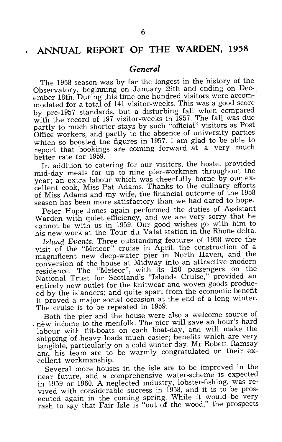#### *General*

The 1958 season was by far the longest in the history of the Observatory, beginning on January 29th and ending on Dec-. ember 18th. During this time one hundred visitors were accommodated for a total of 141 visitor-weeks. This was a good score by pre-1957 standards, but a disturbing fall when compared with the record of 197 visitor-weeks in 1957. The fall was due partly to much shorter stays by such "official" visitors as Post Office workers, and partly to the absence of university parties which so boosted the figures in 1957. I am glad to be able to report that bookings are coming forward at a very much better rate for 1959.

In addition to catering for our visitors, the hostel provided mid-day meals for up to nine pier-workmen throughout the year; an extra labour which was cheerfully borne by our excellent cook, Miss Pat Adams. Thanks to the culinary efforts of Miss Adams and my wife, the financial outcome of the 1958 season has been more satisfactory than we had dared to hope.

Peter Hope Jones again performed the duties of Assistant Warden with quiet efficiency, and we are very sorry that he cannot be with us in 1959. Our good wishes go with him to his new work at the Tour du Valat station in the Rhone delta.

*Island Events.* Three outstanding features of 1958 were the visit of the "Meteor" cruise in April, the construction of a magnificent new deep-water pier in North Haven, and the conversion of the house at Midway into an attractive modern residence. The "Meteor", with its 150 passengers on the National Trust for Scotland's "Islands Cruise," provided an entirely new outlet for the knitwear and woven goods produced by the islanders; and quite apart from the economic benefit it proved a major social occasion at the end of a long winter.

The cruise is to be repeated in 1959.<br>Both the pier and the house were also a welcome source of . new income to the menfolk. The pier will save an hour's hard labour with flit-boats on each boat-day, and wiil make the shipping of heavy loads much easier; benefits which are very tangible, particularly on a cold winter day. Mr Robert Ramsay and his team are to be warmly congratulated on their excellent workmanship.

Several more houses in the isle are to be improved in the near future, and a comprehensive water-scheme is expected in 1959 or 1960. A neglected industry, lobster-fishing, was revived with considerable success in 1958, and it is to be prosecuted again in the coming spring. While it would be very rash to say that Fair Isle is "out of the wood," the prospects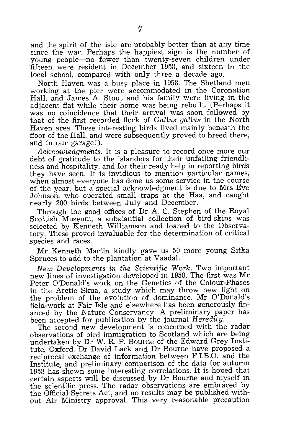and the spirit of the isle are probably better than at any time since the war. Perhaps the happiest sign is the number of young people-no fewer than twenty-seven children under ·fifteen were resident in December 1958, and sixteen in the local school, compared with only three a decade ago.

North Haven was a busy place in 1958. The Shetland men working at the pier were accommodated in the Coronation Hall, and James A. Stout and his family were living in the adjacent flat while their home was being rebuilt. (Perhaps it was no coincidence that their arrival was soon followed by that of the first recorded flock of *Gallus gaUus* in the North Haven area. These interesting birds lived mainly beneath the floor of the Hall, and were subsequently proved to breed there, and in our garage!).

*AcknowLedgments.* It is a pleasure to record once more our debt of gratitude to the islanders for their unfailing friendliness and hospitality, and for their ready help in reporting birds they have seen. It is invidious to mention particular names, when almost everyone has done us some service in the course of the year, but a special acknowledgment is due to Mrs Eve Johnson, who operated small traps at the Haa, and caught nearly 200 birds between July and December.

Through the good offices of Dr A. C. Stephen of the Royal Scottish Museum, a substantial collection of bird-skins was selected by Kenneth Williamson and loaned to the Observatory. These proved invaluable for the determination of critical species and races.

Mr Kenneth Martin kindly gave us 50 more young Sitka Spruces to add to the plantation at Vaadal.

*New DeveLopments in the Scientific Work.* Two important new lines of investigation developed in 1958. The first was Mr Peter O'Donald's work on the Genetics of the Colour-Phases in the Arctic Skua, a study which may throw new light on the problem of the evolution of dominance. Mr O'Donald's field-work at Fair Isle and elsewhere has been generously financed by the Nature Conservancy. A preliminary paper has been accepted for publication by the journal *Heredity.* 

The second new development is concerned with the radar observations of bird immigration to Scotland which are being undertaken by Dr W. R. P. Bourne of the Edward Grey Institute, Oxford. Dr David Lack and Dr Bourne have proposed a reciprocal exchange of information between F.I.B.O. and the Institute. and preliminary comparison of the data for autumn 1958 has shown some interesting correlations. It is hoped that certain aspects will be discussed by Dr Bourne and myself in the scientific press. The radar observations are embraced by the Official Secrets Act, and no results may be published without Air Ministry approval. This very reasonable precaution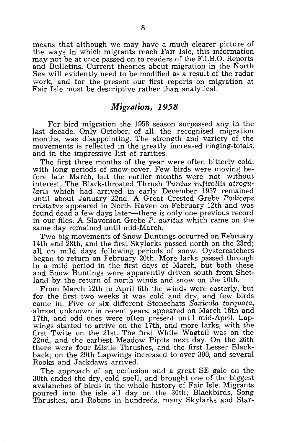means that although we may have a much clearer picture of the ways in which migrants reach Fair Isle, this information may not be at once passed on to readers of the F.I.B.O. Reports and Bulletins. Current theories about migration in the North Sea will evidently need to be modified as a result of the radar work, and for the present our first reports on migration at Fair Isle must be descriptive rather than analytical.

### *Migration, 1958*

For bird migration the 1958 season surpassed any in the last decade. Only October, of all the recognised migration months, was disappointing. The strength and variety of the movements is reflected in the greatly increased ringing-totals, and in the impressive list of rarities.

The first three months of the year were often bitterly cold, with long periods of snow-cover. Few birds were moving before late March, but the earlier months were not without interest. The Black-throated Thrush *Turdus ruficollis atrogu*laris which had arrived in early December 1957 remained until about January 22nd. A Great Crested Grebe *Podiceps. cristatus* appeared in North Haven on February 12th and was found dead a few days later-there is only one previous record in our files. A Slavonian Grebe *F. auritus* which came on the same day remained until mid-March.

Two big movements of Snow Buntings occurred on February 14th and 28th, and the first Skylarks passed north on the 23rd; all on mild days following periods of snow. Oystercatchers began to return on February 20th. More larks passed through in a mild period in the first days of March, but both these and Snow Buntings were apparently driven south from Shetland by the return of north winds and snow on the 10th.

From March 12th to April 6th the winds were easterly, 'but for the first two weeks it was cold and dry, and few birds came in. Five or six different Stonechats *Saxicola torquata,*  almost unknown in recent years, appeared on March 16th and 17th, and odd ones were often present until mid-April. Lapwings started to arrive on the 17th, and more larks, with the first Twite on the 21st. The first White Wagtail was on the 22nd, and the earliest Meadow Pipits next day. On the 26th there were four Mistle Thrushes, and the first Lesser Blackback; on the 29th Lapwings increased to over 300, and several Rooks and Jackdaws arrived.

The approach of an occlusion and a great SE gale on the 30th ended the dry, cold spell, and brought one of the biggest avalanches of birds in the whole history of Fair Isle. Migrants poured into the isle all day on the 30th; Blackbirds, Song Thrushes, and Robins in hundreds, many Skylarks and Star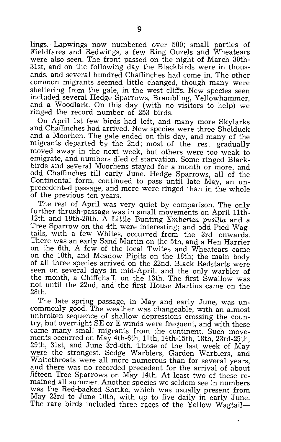lings. Lapwings now numbered over 500; small parties of Fieldfares and Redwings, a few Ring Ouzels and Wheatears were also seen. The front passed on the night of March 30th-31st, and on the following day the Blackbirds were in thousands, and several hundred Chaffinches had come in. The other common migrants seemed little changed, though many were sheltering from the gale, in the west cliffs. New species seen included several Hedge Sparrows, Brambling, Yellowhammer, and a Woodlark. On this day (with no visitors to help) we ringed the record number of 253 birds.

On April 1st few birds had left, and many more Skylarks and Chaffinches had arrived. New species were three Shelduck and a Moorhen. The gale ended on this day, and many of the migrants departed by the 2nd; most of the rest gradually moved away in the next week, but others were too weak to emigrate, and numbers died of starvation. Some ringed Blackbirds and several Moorhens stayed for a month or more, and odd Chaffinches till early June. Hedge Sparrows, all of the Continental form, continued to pass until late May, an unprecedented passage, and more were ringed than in the whole of the previous ten years.

The rest of April was very quiet by comparison. The only further thrush-passage was in small movements on April 11th-12th and 19th-20th. A Little Bunting *Emberiza pusilla* and a Tree Sparrow on the 4th were interesting; and odd Pied Wagtails, with a few Whites, occurred from the 3rd onwards. There was an early Sand Martin on the 5th, and a Hen Harrier on the 6th. A few of the local Twites and Wheatears came on the 10th, and Meadow Pipits on the 18th; the main body of all three species arrived on the 22nd. Black Redstarts were seen on several days in mid-April, and the only warbler of the month, a Chiffchaff, on the 13th. The first Swallow was not until the 22nd, and the first House Martins came on the 28th.

The late spring passage, in May and early June, was uncommonly good. The weather was changeable, with an almost unbroken sequence of shallow depressions crossing the country, but overnight SE or E winds were frequent, and with these came many small migrants from the continent. Such movements occurred on May 4th-6th, 11th, 14th-15th, 18th, 23rd-25th, 29th, 31st, and June 3rd-6th. Those of the last week of May were the strongest. Sedge Warblers, Garden Warblers, and Whitethroats were all more numerous than for several years, and there was no recorded precedent for the arrival of about fifteen Tree Sparrows on May 14th. At least two of these remained all summer. Another species we seldom see in numbers was the Red-backed Shrike, which was usually present from May 23rd to June 10th, with up to five daily in early June. The rare birds included three races of the Yellow Wagtail-

 $\ddot{\phantom{0}}$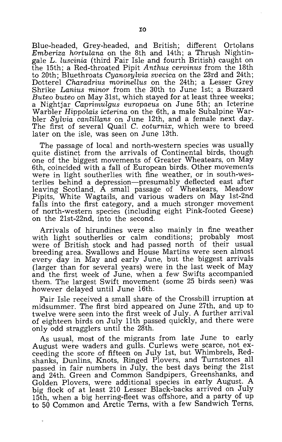Blue-headed, Grey-headed, and British; different Ortolans *Emberiza hortulana* on the 8th and 14th; a Thrush Nightingale L. *luscinia* (third Fair Isle and fourth British) caught on the 15th; a Red-throated Pipit *Anthus cervinus* from the 18th to 20th; Bluethroats *Cyanosylvia svecica* on the 23rd and 24th; Dotterel *Charadrius morinellus* on the 24th; a Lesser Grey Shrike *Lanius minor* from the 30th to June 1st; a Buzzard *Buteo buteo* on May 31st, which stayed for at least three weeks; a Nightjar *Caprimulgus europaeus* on June 5th; an Icterine Warbler *Hippolais icterina* on the 6th, a male Subalpine Warbler *Sylvia cantillans* on June 12th, and a female next day. The first of several Quail C. *coturnix,* which were to breed later on the isle, was seen on June 13th.

The passage of local and north-western species was usually quite distinct from the arrivals of Continental birds, though one of the biggest movements of Greater Wheatears, on May 6th, coincided with a fall of European birds. Other movements were in light southerlies with fine weather, or in south-westerlies behind a depression-presumably deflected east after leaving Scotland. A small passage of Wheatears, Meadow Pipits, White Wagtails, and various waders on May 1st-2nd falls into the first category, and a much stronger movement of north-western species (including eight Pink-footed Geese) on the 21st-22nd, into the second.

Arrivals of hirundines were also mainly in fine weather with light southerlies or calm conditions; probably most were of British stock and had passed north of their usual breeding area. Swallows and House Martins were seen almost every day in May and early June, but the biggest arrivals (larger than for several years) were in the last week of May and the first week of June, when a few Swifts accompanied them. The largest Swift movement (some 25 birds seen) was however delayed until June 16th.

Fair Isle received a small share of the Crossbill irruption at midsummer. The first bird appeared on June 27th, and up to twelve were seen into the first week of July. A further arrival of eighteen birds on July 11th passed quickly, and there were only odd stragglers until the 28th.

As usual, most of the migrants from late June to early August were waders and gulls. Curlews were scarce, not exceeding the score of fifteen on July 1st, but Whimbrels, Redshanks, Dunlins, Knots, Ringed Plovers, and Turnstones all passed in fair numbers in July, the best days being the 21st and 24th. Green and Common Sandpipers, Greenshanks, and Golden Plovers, were additional species in early August. A big flock of at least 210 Lesser Black-backs arrived on July 15th, when a big herring-fleet was offshore, and a party of up to 50 Common and Arctic Terns, with a few Sandwich Terns,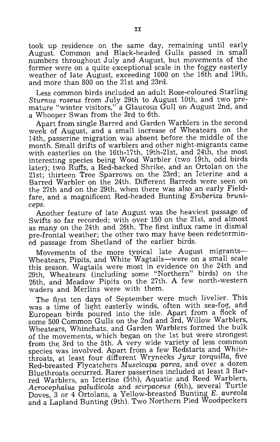took up residence on the same day, remaining until early August. Common and Black-headed Gulls passed in small numbers throughout July and August, but movements of the former were on a quite exceptional scale in the foggy easterly weather of late August, exceeding 1000 on the 16th and 19th, and more than 800 on the 21st and 23rd.

Less common birds included an adult Rose-coloured Starling *Sturnus roseus from July 29th to August 10th, and two pre*mature "winter visitors," a Glaucous Gull on August 2nd, and a Whobper Swan from the 3rd to 6th.

Apart from single Barred and Garden Warblers in the second week of August, and a small increase of Wheatears on the 14th, passerine migration was absent before the middle of the month. Small drifts of warblers and other night-migrants came with easterlies on the 16th-17th, 19th-21st, and 24th, the most interesting species being Wood Warbler (two 19th, odd birds later); two Ruffs, a Red-backed Shrike, and an Ortolan on the 21st; thirteen Tree Sparrows on the 23rd; an Icterine and a Barred Warbler on the 24th. Different Barreds were seen on the 27th and on the 29th, when there was also an early Fieldfare, and a magnificent Red-headed Bunting *Emberiza bruniceps.* 

Another feature of late August was the heaviest passage of Swifts so far recorded; with over 150 on the 21st, and almost as many on the 24th and 26th. The first influx came in dismal pre-frontal weather; the other two may have been redetermined passage from Shetland of the earlier birds.

Movements of the more tyoical late August migrants-Wheatears, Pipits, and White Wagtails-were on a small scale this season. Wagtails were most in evidence on the 24th and 29th, Wheatears (including some "Northern" birds) on the 26th, and Meadow Pipits on the 27th. A few north-western waders and Merlins were with them.

The first ten days of September were much livelier. This was a time of light easterly winds, often with sea-fog, and European birds poured into the isle. Apart from a flock of some 500 Common Gulls on the 2nd and 3rd, Willow Warblers, Wheatears, Whinchats, and Garden Warblers formed the bulk of the movements, which began on the 1st but were strongest from the 3rd to the 5th. A very wide variety of less common species was involved. Apart from a few Redstarts and Whitethroats, at least four different Wrynecks Jynx *torquilla,* five Red-breasted Flycatchers *Muscicapa parva,* and over a dozen Bluethroats occurred. Rarer passerines included at least 3 Barred Warblers, an Icterine (5th), Aquatic and Reed Warblers, *Acrocephalus paludicola* and *scirpaceus* (6th), several Turtle Doves, 3 or 4 Ortolans, a Yellow-breasted Bunting *E. aureola*  and a Lapland Bunting (9th). Two Northern Pied Woodpeckers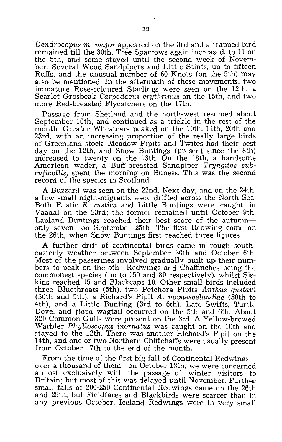*Dendrocopus* m. *major* appeared on the 3rd and a trapped bird remained till the 30th. Tree Sparrows again increased, to 11 on the 5th, and some stayed until the second week of November. Several Wood Sandpipers and Little Stints, up to fifteen Ruffs, and the unusual number of 60 Knots (on the 5th) may also be mentioned. In the aftermath of these movements, two immature Rose-coloured Starlings were seen on the 12th, a Scarlet Grosbeak *Carpodacus erythrinus* on the 15th, and two more Red-breasted Flycatchers on the 17th.

Passage from Shetland and the north-west resumed about September 10th, and continued as a trickle in the rest of the month. Greater Wheatears peaked on the 10th, 14th, 20th and 23rd, with an increasing proportion of the really large birds of Greenland stock. Meadow Pipits and Twites had their best day on the 12th, and Snow Buntings (present since the 8th) increased to twenty on the 13th. On the 18th, a handsome American wader, a Buff-breasted Sandpiper *Tryngites subruficollis,* spent the morning on Buness. This was the second record of the species in Scotland.

A Buzzard was seen on the 22nd. Next day, and on the 24th, a few small night-migrants were drifted across the North Sea. Both Rustic *E. rustica* and Little Buntings were caught in Vaadal on the 23rd; the former remained until October 9th. Lapland Buntings reached their best score of the autumnonly seven-on September 25th. The first Redwing came on the 26th, when Snow Buntings first reached three figures.

A further drift of continental birds came in rough southeasterly weather between September 30th and October 6th. Most of the passerines involved graduallv built up their numbers to peak on the 5th-Redwings and Chaffinches being the commonest species (up to 150 and 80 respectively), whilst Siskins reached 15 and Blackcaps 10. Other small birds included three Bluethroats (5th), two Petchora Pipits *Anthus qustavi*  (30th and 5th), a Richard's Pipit A. *novaeseelandiae* (30th to 4th), and a Little Bunting (3rd to 6th). Late Swifts, Turtle Dove, and *flava* wagtail occurred on the 5th and 6th. About 320 Common Gulls were present on the 3rd. A Yellow-browed Warbler *PhyUoscopus inornatus* was caught on the 10th and stayed to the 12th. There was another Richard's Pipit on the 14th, and one or two Northern Chiffchaffs were usually present from October 17th to the end of the month.

From the time of the first big fall of Continental Redwingsover a thousand of them-on October 13th, we were concerned almost exclusively with the passage of winter visitors to Britain; but most of this was delayed until November. Further small falls of 200-250 Continental Redwings came on the 26th and 29th, but Fieldfares and Blackbirds were scarcer than in any previous October. Iceland Redwings were in very small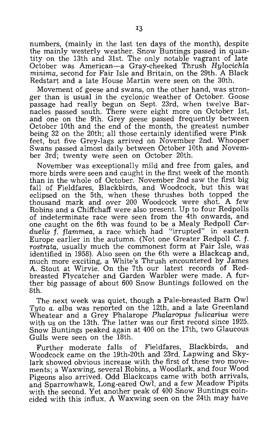numbers, (mainly in the last ten days of the month), despite the mainly westerly weather. Snow Buntings passed in quantity on the 13th and 31st. The only notable vagrant of late October was American-a Gray-cheeked Thrush *Hylocichla minima,* second for Fair Isle and Britain, on the 29th. A Black Redstart and a late House Martin were seen on the 30th.

Movement of geese and swans, on the other hand, was stronger than is usual in the cyclonic weather of October. Goose passage had really begun on Sept. 23rd, when twelve Barnacles passed south. There were eight more on October 1st, and one on the 9th. Grey geese passed frequently between October 10th and the end of the month, the greatest number being 32 on the 20th; all those certainly identified were Pink feet, but five Grey-lags arrived on November 2nd. Whooper Swans passed almost daily between October 10th and November 3rd; twenty were seen on October 20th.

November was exceptionally mild and free from gales, and more birds were seen and caught in the first week of the month than in the whole of October. November 2nd saw the first 'big fall of Fieldfares, Blackbirds, and Woodcock, but this was eclipsed on the 5th, when these thrushes both topped the thousand mark and over 200 Woodcock were shot. A few Robins and a Chiffchaff were also present. Up to four Redpolls of indeterminate race were seen from the 4th onwards, and one caught on the 6th was found to be a Mealy Redpoll *Carduelis* f. *flammea,* a race which had "irrupted" in eastern Europe earlier in the autumn. (Not one Greater Redpoll C. f. *rostrata,* usually much the commonest form at Fair Isle, was identified in 1958). Also seen on the 6th were a Blackcap and, much more exciting, a White's Thrush encountered by James A. Stout at Wirvie. On the 7th our latest records of Redbreasted Flycatcher and Garden Warbler were made. A further big passage of about 600 Snow Buntings followed on the 8th.

The next week was quiet, though a Pale-breasted Barn Owl *Tyto a. alba* was reported on the 12th, and a late Greenland Wheatear and a Grey Phalarope *Phalaropus fulicarius* were with us on the 13th. The latter was our first record since 1925. Snow Buntings peaked again at 400 on the 17th, two Glaucous Gulls were seen on the 18th.

Further moderate falls of Fieldfares, Blackbirds, and Woodcock came on the 19th-20th and 23rd. Lapwing and Skylark showed obvious increase with the first of these two movements; a Waxwing, several Robins, a Woodlark, and four Wood Pigeons also arrived. Odd Blackcaps came with both arrivals, and Sparrowhawk, Long-eared Owl, and a few Meadow Pipits with the second. Yet another peak of 400 Snow Buntings coincided with this influx. A Waxwing seen on the 24th may have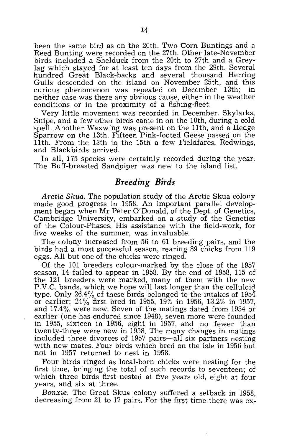been the same bird as on the 20th. Two Corn Buntings and a Reed Bunting were recorded on the 27th. Other late-November birds included a Shelduck from the 20th to 27th and a Greylag which stayed for at least ten days from the 29th. Several hundred Great Black-backs and several thousand Herring Gulls descended on the island on November 25th, and this curious phenomenon was repeated on December 13th: in curious phenomenon was repeated on December 13th; neither case was there any obvious cause, either in the weather conditions or in the proximity of a fishing-fleet.

Very little movement was recorded in December. Skylarks, Snipe, and a few other birds came in on the 10th, during a cold spell. Another Waxwing was present on the 11th, and a Hedge Sparrow on the 13th. Fifteen Pink-footed Geese passed on the 11th. From the 13th to the 15th a few Fieldfares, Redwings, and Blackbirds arrived.

In all, 175 species were certainly recorded during the year. The Buff-breasted Sandpiper was new to the island list.

### *Breeding Birds*

*Arctic Skua.* The population study of the Arctic Skua colony made good progress in 1958. An important parallel development began when Mr Peter O'Donald, of the Dept. of Genetics, Cambridge University, embarked on a study of the Genetics of the Colour-Phases. His assistance with the field-work, for five weeks of the summer, was invaluable.

The colony increased from 56 to 61 breeding pairs, and the birds had a most successful season, rearing 89 chicks from 119 eggs. All but one of the chicks were ringed.

Of the 101 breeders colour-marked by the close of the 1957 season, 14 failed to appear in 1958. By the end of 1958, 115 of the 121 breeders were marked, many of them with the new P.V.C. bands, which we hope will last longer than the celluloid type. Only  $26.4\%$  of these birds belonged to the intakes of  $195\frac{3}{4}$ or earlier; 24% first bred in 1955, 19% in 1956, 13.2% in 1957, and 17.4% were new. Seven of the matings dated from 1954 or earlier (one has endured since 1948), seven more were founded in 1955, sixteen in 1956, eight in 1957, and no fewer than twenty-three were new in 1958. The many changes in matings included three divorces of 1957 pairs—all six partners nesting with new mates. Four birds which bred on the isle in 1956 but not in 1957 returned to nest in 1958.

Four birds ringed as local-born chicks were nesting for the first time, bringing the total of such records to seventeen; of which three birds first nested at five years old, eight at four years, and six at three.

*Bonxie.* The Great Skua colony suffered a setback in 1958, decreasing from 21 to 17 pairs. For the first time there was ex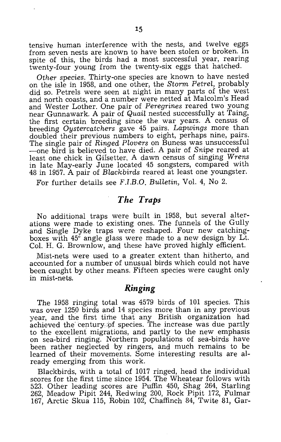tensive human interference with the nests, and twelve eggs from seven nests are known to have been stolen or broken. In spite of this, the birds had a most successful year, rearing twenty-four young from the twenty-six eggs that hatched.

*Other species.* Thirty-one species are known to have nested on the isle in 1958, and one other, the *S'torm Fetrel,* probably did so. Petrels were seen at night in many parts of the west and north coasts, and a number were netted at Malcolm's Head and Wester Lother. One pair of *Feregrines* reared two young near Gunnawark. A pair of *Quail* nested successfully at Taing, the first certain breeding since the war years. A census of breeding *Oystercatchers* gave 45 pairs. *Lapwings* more than doubled their previous numbers to eight, perhaps nine, pairs. The single pair of *Ringed Plovers* on Buness was unsuccessful -one bird is believed to have died. A pair of *Snipe* reared at least one chick in GiIsetter .. A dawn census of singing *Wrens*  in late May-early June located 45 songsters, compared with 48 in 1957. A pair of *Blackbirds* reared at least one youngster.

For further details see *F.I.B.o. Bulletin,* Vol. 4, No 2.

# *The Traps*

No additional traps were built in 1958, but several alterations were made to existing ones. The funnels of the Gully and Single Dyke traps were reshaped. Four new catchingboxes with 45° angle glass were made to a new design by Lt. Col. H. G. Brownlow, and these have proved highly efficient.

Mist-nets were used to a greater extent than hitherto, and accounted for a number of unusual birds which could not have been caught by other means. Fifteen species were caught only in mist-nets.

# *Ringing*

The 1958 ringing total was 4579 birds of 101 species. This was over 1250 birds and 14 species more than in any previous year, and the first time that any British organization had achieved the century of species. The increase was due partly to the excellent migrations, and partly to the new emphasis on sea-bird ringing. Northern populations of sea-birds have been rather neglected by ringers, and much remains to be learned of their movements. Some interesting results are already emerging from this work.

Blackbirds, with a total of 1017 ringed, head the individual scores for the first time since 1954. The Wheatear follows with 523. Other leading scores are Puffin 450, Shag 264, Starling 262, Meadow Pipit 244, Redwing 200, Rock Pipit 172, Fulmar 167, Arctic Skua 115, Robin 102, Chaffinch 84, Twite 81, Gar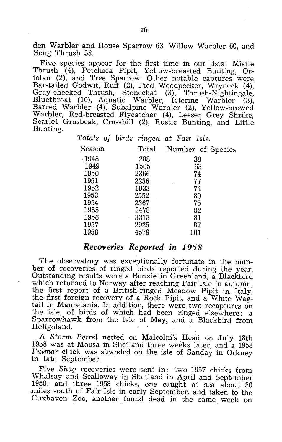den Warbler and House Sparrow 63, Willow Warbler 60, and Song Thrush 53.

Five species appear for the first time in our lists: Mistle Thrush (4), Petchora Pipit, Yellow-breasted Bunting, Ortolan (2), and Tree Sparrow. Other notable captures were Bar-tailed Godwit, Ruff (2), Pied Woodpecker, Wryneck (4), Gray-cheeked Thrush, Stonechat (3), Thrush-Nightingale, Bluethroat (10), Aquatic Warbler, Icterine Warbler (3), Barred Warbler (4), Subalpine Warbler (2), Yellow-browed Warbler, Red-breasted Flycatcher (4), Lesser Grey Shrike, Scarlet Grosbeak, Crossbill (2), Rustic Bunting, and Little Bunting.

*Totals* of *birds ringed at Fair Isle.* 

| Season       | Total     | Number of Species |
|--------------|-----------|-------------------|
| $\cdot$ 1948 | 288       | 38                |
| 1949         | 1505      | 63                |
| 1950         | 2366      | 74                |
| 1951         | 2236      | 77                |
| 1952         | 1933      | 74                |
| 1953         | 2552      | 80                |
| 1954         | 2367      | 75                |
| 1955         | 2478      | 82                |
| 1956         | 3313<br>÷ | 81                |
| 1957         | 2925      | 87                |
| 1958         | 4579      | 101               |

#### *Recoyeries Reported* **In 1958**

The observatory was exceptionally fortunate in the number of recoveries of ringed birds reported during the year. Outstanding results were a Bonxie in Greenland, a Blackbird which returned to Norway after reaching Fair Isle in autumn, the first report of a British-ringed Meadow Pipit in Italy, the first foreign recovery of a Rock Pipit, and a White Wagtail in Mauretania. In addition, there were two recaptures on the isle, of birds of which had been ringed elsewhere: a Sparrowhawk from the Isle of May, and a Blackbird from Heligoland.

A *Storm Petrel* netted on Malcolm's Head on July.18th 1958 was at Mousa in Shetland three weeks later, and a 1958 *Fulmar* chick was stranded on the isle of Sanday in Orkney in late September.

Five *Shag* recoveries were sent in: two 1957 chicks from Whalsay and Scalloway in Shetland in April and September 1958; and three 1958 chicks, one caught at sea about 30 miles south of Fair Isle in early September, and taken to the Cuxhaven Zoo, another. found dead in the same. week on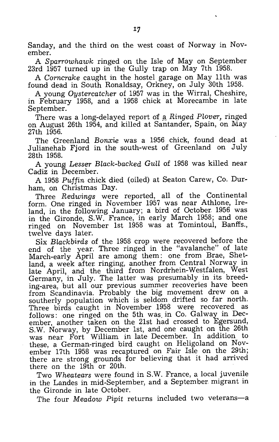Sanday, and the third on the west coast of Norway in November.

A *Sparrow hawk* ringed on the Isle of May on September 23rd 1957 turned up in the Gully trap on May 7th 1958.

A *Corncrake* caught in the hostel garage on May 11th was found dead in South Ronaldsay, Orkney, on July 30th 1958.

A young *Oystercatcher* of 1957 was in the Wirral, Cheshire, in February 1958, and a 1958 chick at Morecambe in late September.

There was a long-delayed report of a *Ringed Plover*, ringed on August 26th 1954, and killed at Santander, Spain, On May 27th 1956.

The Greenland *Bonxie* was a 1956 chick, found dead at Julianehab Fjord in the south-west of Greenland on July 28th 1958.

A young Lesser Black-backed Gull of 1958 was killed near Cadiz in December.

A 1958 *Puffin* chick died (oiled) at Seaton Carew, Co. Durham, on Christmas Day.

Three *Redwings* were reported, all of the Continental form. One ringed in November 1957 was near Athlone, Ireland, in the following January; a bird of October. 1956 was in the Gironde, S.W. France, in early March 1958; and one ringed on November 1st 1958 was at Tomintoul, Banffs., twelve days later.

Six *Blackbirds* of the 1958 crop were recovered before the end of the year. Three ringed in the "avalanche" of late March-early April are among them: one from Brae, Shetland, a week after ringing, another from Central Norway in late April, and the third from Nordrhein-Westfalen, West Germany, in July. The latter was presumably in its breeding-area, but all our previous summer recoveries have been from Scandinavia. Probably the big movement drew on a southerly population which is seldom drifted so far north. Three birds caught in November 1958 were recovered as follows: one ringed on the 5th was. in Co. Galway in December, another taken on the 21st had crossed to Egersund, S.W. Norway, by December 1st, and one caught on the 26th was near Fort William in late December. In addition to these, a German-ringed bird caught on Heligoland on November 17th 1958 was recaptured on Fair Isle on the 29th; there are strong grounds for believing that it had arrived there on the 19th or 20th.

Two *Wheatears* were found in S.W. France, a local juvenile in the Landes in mid-September, and a September migrant in the Gironde in late October.

The four *Meadow Pipit* returns included two veterans-a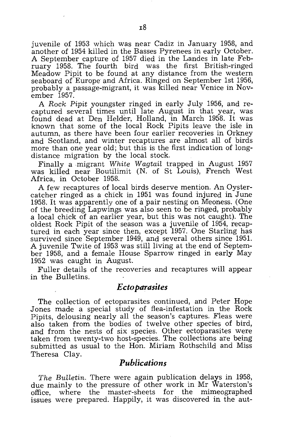juvenile of 1953 which was near Cadiz in January 1958, and another of 1954 killed in the Basses Pyrenees in early October. A September capture of 1957 died in the Landes in late February 1958. The fourth bird was the first British-ringed Meadow Pipit to be found at any distance from the western seaboard of Europe and Africa. Ringed on September 1st 1956, probably a passage-migrant, it was killed near Venice in November 1957.

A *Rock Pipit* youngster ringed in early July 1956, and recaptured several times until late August in that year, was found dead at Den Helder, Holland, in March 1958. It was known that some of the local Rock Pipits leave the isle in autumn, as there have been four earlier recoveries in Orkney and Scotland, and winter recaptures are almost all of birds more than one year old; but this is the first indication of longdistance migration by the local stock.

Finally a migrant *White Wagtail* trapped in August 1957 was killed near Boutilimit (N. of St Louis), French West Africa, in October 1958.

A few recaptures of local birds deserve mention. An Oystercatcher ringed as a chick in 1951 was found injured in June 1958. It was apparently one of a pair nesting on Meoness. (One of the breeding Lapwings was also seen to be ringed, probably a local chick of an earlier year, but this was not caught). The oldest Rock Pipit of the season was a juvenile of 1954, recaptured in each year since then, except 1957. One Starling has survived since September 1949, and several others since 1951. A juvenile Twite of 1953 was still living at the end of September 1958, and a female House Sparrow ringed in early May 1952 was caught in August.

Fuller details of the recoveries and recaptures will appear in the Bulletins.

### *Ecto parasites*

The collection of ectoparasites continued, and Peter Hope Jones made a special study of flea-infestation in the Rock Pipits, delousing nearly all the season's captures. Fleas were also taken from the bodies of twelve other species of bird, and from the nests of six species. Other ectoparasites were taken from twenty-two host-species. The collections are being submitted as usual to the Hon. Miriam Rothschild and Miss Theresa Clay.

#### *Publications*

*The BuLLetin.* There were again publication delays in 1958, due mainly to the pressure of other work in Mr Waterston's<br>office, where the master-sheets for the mimeographed where the master-sheets for the issues were prepared. Happily, it was discovered in the aut-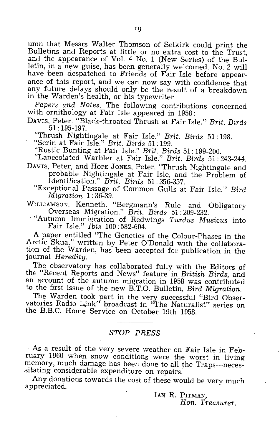umn that Messrs Walter Thomson of Selkirk could print the Bulletins and Reports at little or no extra cost to the Trust, and the appearance of Vol. 4 No. 1 (New Series) of the Bulletin, in a new guise, has been generally welcomed. No. 2 will have been despatched to Friends of Fair Isle before appearance of this report, and we can now say with confidence that any future delays should only be the result of a breakdown in the Warden's health, or his typewriter.

*Papers and Notes.* The following contributions concerned with ornithology at Fair Isle appeared in 1958:

DAVIS, Peter. "Black-throated Thrush at Fair Isle." *Brit. Birds*  51: 195-197.

"Thrush Nightingale at Fair Isle." *Brit. Birds* 51: 198.

"Serin at Fair Isle." *Brit. Birds* 51: 199.

"Rustic Bunting, at Fair Isle." *Brit. Birds* 51: 199-200.

"Lanceolated Warbler at Fair Isle." *Brit. Birds* 51: 243-244.

- DAVIS, Peter, and HOPE JONES, Peter. "Thrush Nightingale and probable Nightingale at Fair Isle, and the Problem of Identification." *Brit. Birds* 51: 356-357.
	- "Exceptional Passage of Common Gulls at Fair Isle." *Bird Migration* 1: 36-39.

WILLIAMSON. Kenneth. "Bergmann's Rule and Obligatory<br>Overseas Migration." Brit. Birds 51:209-232.

"Autumn Immigration of Redwings Turdus Musicus into Fair Isle." *Ibis* 100: 582-604.

A paper entitled "The Genetics of the Colour-Phases in the Arctic Skua," written by Peter O'Donald with the collaboration of the Warden, has been accepted for publication in the journal *Heredity.* 

The observatory has collaborated fully with the Editors of the "Recent Reports and News" feature in *British Birds,* and an account of the autumn migration in 1958 was contributed to the first issue of the new B.T.O. Bulletin, *Bird Migration.* 

The Warden took part in the very successful "Bird Observatories Radio Link" broadcast in "The Naturalist" series on the B.B.C. Home Service on October 19th 1958.

#### *STOP PRESS*

. As a result of the very severe weather on Fair Isle in February 1960 when snow conditions were the worst in living memory, much damage has been done to all the Traps-necessitating considerable expenditure on repairs.

Any donations towards the cost of these would be very much appreciated.

IAN R. PITMAN.

*Hon. Treasurer.*